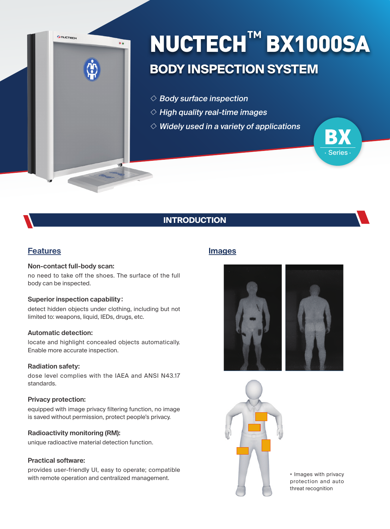

# **BODY INSPECTION SYSTEM** NUCTECH**™** BX1000SA

- $\Diamond$  Body surface inspection
- $\diamond$  High quality real-time images
- $\diamond$  Widely used in a variety of applications

# **INTRODUCTION**

### **Features**

#### **Non-contact full-body scan:**

no need to take off the shoes. The surface of the full body can be inspected.

#### **Superior inspection capability**:

detect hidden objects under clothing, including but not limited to: weapons, liquid, IEDs, drugs, etc.

#### **Automatic detection:**

locate and highlight concealed objects automatically. Enable more accurate inspection.

#### **Radiation safety:**

dose level complies with the IAEA and ANSI N43.17 standards.

#### **Privacy protection:**

equipped with image privacy filtering function, no image is saved without permission, protect people's privacy.

#### **Radioactivity monitoring (RM):**

unique radioactive material detection function.

#### **Practical software:**

provides user-friendly UI, easy to operate; compatible with remote operation and centralized management.

## **Images**





\* Images with privacy protection and auto threat recognition

**Series**